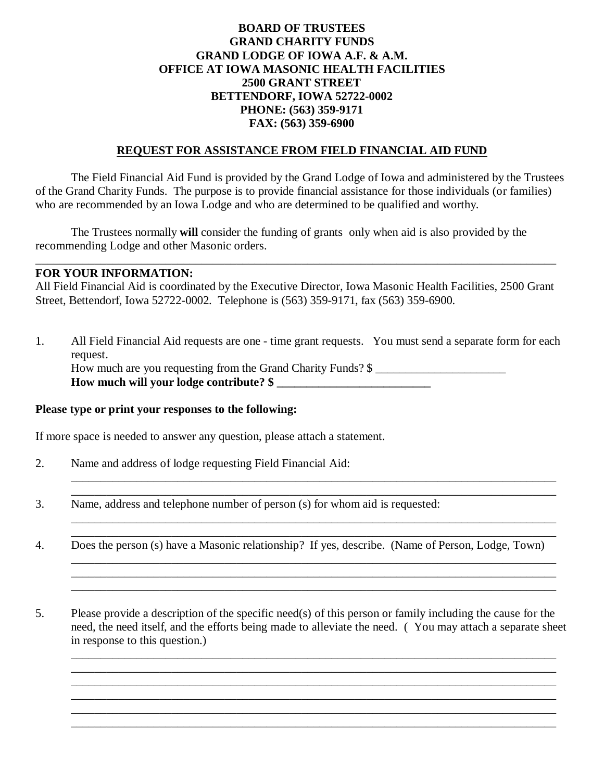## **BOARD OF TRUSTEES GRAND CHARITY FUNDS GRAND LODGE OF IOWA A.F. & A.M. OFFICE AT IOWA MASONIC HEALTH FACILITIES 2500 GRANT STREET BETTENDORF, IOWA 52722-0002 PHONE: (563) 359-9171 FAX: (563) 359-6900**

#### **REQUEST FOR ASSISTANCE FROM FIELD FINANCIAL AID FUND**

The Field Financial Aid Fund is provided by the Grand Lodge of Iowa and administered by the Trustees of the Grand Charity Funds. The purpose is to provide financial assistance for those individuals (or families) who are recommended by an Iowa Lodge and who are determined to be qualified and worthy.

The Trustees normally **will** consider the funding of grants only when aid is also provided by the recommending Lodge and other Masonic orders.

#### **FOR YOUR INFORMATION:**

All Field Financial Aid is coordinated by the Executive Director, Iowa Masonic Health Facilities, 2500 Grant Street, Bettendorf, Iowa 52722-0002. Telephone is (563) 359-9171, fax (563) 359-6900.

\_\_\_\_\_\_\_\_\_\_\_\_\_\_\_\_\_\_\_\_\_\_\_\_\_\_\_\_\_\_\_\_\_\_\_\_\_\_\_\_\_\_\_\_\_\_\_\_\_\_\_\_\_\_\_\_\_\_\_\_\_\_\_\_\_\_\_\_\_\_\_\_\_\_\_\_\_\_\_\_\_\_\_\_\_\_\_\_

1. All Field Financial Aid requests are one - time grant requests. You must send a separate form for each request. How much are you requesting from the Grand Charity Funds? \$ **How much will your lodge contribute? \$ \_\_\_\_\_\_\_\_\_\_\_\_\_\_\_\_\_\_\_\_\_\_\_\_\_\_**

### **Please type or print your responses to the following:**

If more space is needed to answer any question, please attach a statement.

- 2. Name and address of lodge requesting Field Financial Aid:
- 3. Name, address and telephone number of person (s) for whom aid is requested:
- 4. Does the person (s) have a Masonic relationship? If yes, describe. (Name of Person, Lodge, Town)

\_\_\_\_\_\_\_\_\_\_\_\_\_\_\_\_\_\_\_\_\_\_\_\_\_\_\_\_\_\_\_\_\_\_\_\_\_\_\_\_\_\_\_\_\_\_\_\_\_\_\_\_\_\_\_\_\_\_\_\_\_\_\_\_\_\_\_\_\_\_\_\_\_\_\_\_\_\_\_\_\_\_ \_\_\_\_\_\_\_\_\_\_\_\_\_\_\_\_\_\_\_\_\_\_\_\_\_\_\_\_\_\_\_\_\_\_\_\_\_\_\_\_\_\_\_\_\_\_\_\_\_\_\_\_\_\_\_\_\_\_\_\_\_\_\_\_\_\_\_\_\_\_\_\_\_\_\_\_\_\_\_\_\_\_

\_\_\_\_\_\_\_\_\_\_\_\_\_\_\_\_\_\_\_\_\_\_\_\_\_\_\_\_\_\_\_\_\_\_\_\_\_\_\_\_\_\_\_\_\_\_\_\_\_\_\_\_\_\_\_\_\_\_\_\_\_\_\_\_\_\_\_\_\_\_\_\_\_\_\_\_\_\_\_\_\_\_

\_\_\_\_\_\_\_\_\_\_\_\_\_\_\_\_\_\_\_\_\_\_\_\_\_\_\_\_\_\_\_\_\_\_\_\_\_\_\_\_\_\_\_\_\_\_\_\_\_\_\_\_\_\_\_\_\_\_\_\_\_\_\_\_\_\_\_\_\_\_\_\_\_\_\_\_\_\_\_\_\_\_ \_\_\_\_\_\_\_\_\_\_\_\_\_\_\_\_\_\_\_\_\_\_\_\_\_\_\_\_\_\_\_\_\_\_\_\_\_\_\_\_\_\_\_\_\_\_\_\_\_\_\_\_\_\_\_\_\_\_\_\_\_\_\_\_\_\_\_\_\_\_\_\_\_\_\_\_\_\_\_\_\_\_ \_\_\_\_\_\_\_\_\_\_\_\_\_\_\_\_\_\_\_\_\_\_\_\_\_\_\_\_\_\_\_\_\_\_\_\_\_\_\_\_\_\_\_\_\_\_\_\_\_\_\_\_\_\_\_\_\_\_\_\_\_\_\_\_\_\_\_\_\_\_\_\_\_\_\_\_\_\_\_\_\_\_

5. Please provide a description of the specific need(s) of this person or family including the cause for the need, the need itself, and the efforts being made to alleviate the need. ( You may attach a separate sheet in response to this question.)

\_\_\_\_\_\_\_\_\_\_\_\_\_\_\_\_\_\_\_\_\_\_\_\_\_\_\_\_\_\_\_\_\_\_\_\_\_\_\_\_\_\_\_\_\_\_\_\_\_\_\_\_\_\_\_\_\_\_\_\_\_\_\_\_\_\_\_\_\_\_\_\_\_\_\_\_\_\_\_\_\_\_ \_\_\_\_\_\_\_\_\_\_\_\_\_\_\_\_\_\_\_\_\_\_\_\_\_\_\_\_\_\_\_\_\_\_\_\_\_\_\_\_\_\_\_\_\_\_\_\_\_\_\_\_\_\_\_\_\_\_\_\_\_\_\_\_\_\_\_\_\_\_\_\_\_\_\_\_\_\_\_\_\_\_ \_\_\_\_\_\_\_\_\_\_\_\_\_\_\_\_\_\_\_\_\_\_\_\_\_\_\_\_\_\_\_\_\_\_\_\_\_\_\_\_\_\_\_\_\_\_\_\_\_\_\_\_\_\_\_\_\_\_\_\_\_\_\_\_\_\_\_\_\_\_\_\_\_\_\_\_\_\_\_\_\_\_ \_\_\_\_\_\_\_\_\_\_\_\_\_\_\_\_\_\_\_\_\_\_\_\_\_\_\_\_\_\_\_\_\_\_\_\_\_\_\_\_\_\_\_\_\_\_\_\_\_\_\_\_\_\_\_\_\_\_\_\_\_\_\_\_\_\_\_\_\_\_\_\_\_\_\_\_\_\_\_\_\_\_ \_\_\_\_\_\_\_\_\_\_\_\_\_\_\_\_\_\_\_\_\_\_\_\_\_\_\_\_\_\_\_\_\_\_\_\_\_\_\_\_\_\_\_\_\_\_\_\_\_\_\_\_\_\_\_\_\_\_\_\_\_\_\_\_\_\_\_\_\_\_\_\_\_\_\_\_\_\_\_\_\_\_ \_\_\_\_\_\_\_\_\_\_\_\_\_\_\_\_\_\_\_\_\_\_\_\_\_\_\_\_\_\_\_\_\_\_\_\_\_\_\_\_\_\_\_\_\_\_\_\_\_\_\_\_\_\_\_\_\_\_\_\_\_\_\_\_\_\_\_\_\_\_\_\_\_\_\_\_\_\_\_\_\_\_